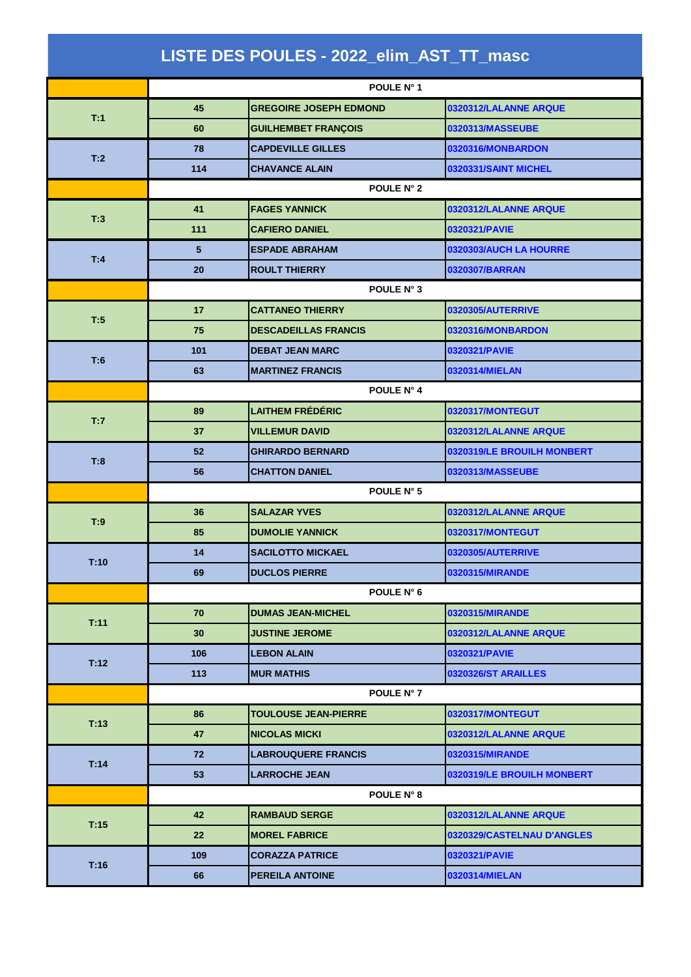|      |            | LISTE DES POULES - 2022_elim_AST_TT_masc |                            |  |
|------|------------|------------------------------------------|----------------------------|--|
|      |            | POULE N° 1                               |                            |  |
| T:1  | 45         | <b>GREGOIRE JOSEPH EDMOND</b>            | 0320312/LALANNE ARQUE      |  |
|      | 60         | <b>GUILHEMBET FRANÇOIS</b>               | 0320313/MASSEUBE           |  |
| T:2  | 78         | <b>CAPDEVILLE GILLES</b>                 | 0320316/MONBARDON          |  |
|      | 114        | <b>CHAVANCE ALAIN</b>                    | 0320331/SAINT MICHEL       |  |
|      |            | POULE N° 2                               |                            |  |
| T:3  | 41         | <b>FAGES YANNICK</b>                     | 0320312/LALANNE ARQUE      |  |
|      | 111        | <b>CAFIERO DANIEL</b>                    | 0320321/PAVIE              |  |
|      | 5          | <b>ESPADE ABRAHAM</b>                    | 0320303/AUCH LA HOURRE     |  |
| T:4  | 20         | <b>ROULT THIERRY</b>                     | 0320307/BARRAN             |  |
|      |            | POULE N° 3                               |                            |  |
| T:5  | 17         | <b>CATTANEO THIERRY</b>                  | <b>0320305/AUTERRIVE</b>   |  |
|      | 75         | <b>DESCADEILLAS FRANCIS</b>              | 0320316/MONBARDON          |  |
| T:6  | 101        | <b>DEBAT JEAN MARC</b>                   | 0320321/PAVIE              |  |
|      | 63         | <b>MARTINEZ FRANCIS</b>                  | 0320314/MIELAN             |  |
|      |            | POULE N° 4                               |                            |  |
| T:7  | 89         | <b>LAITHEM FRÉDÉRIC</b>                  | 0320317/MONTEGUT           |  |
|      | 37         | <b>VILLEMUR DAVID</b>                    | 0320312/LALANNE ARQUE      |  |
| T:8  | 52         | <b>GHIRARDO BERNARD</b>                  | 0320319/LE BROUILH MONBERT |  |
|      | 56         | <b>CHATTON DANIEL</b>                    | 0320313/MASSEUBE           |  |
|      |            | POULE N° 5                               |                            |  |
| T:9  | 36         | <b>SALAZAR YVES</b>                      | 0320312/LALANNE ARQUE      |  |
|      | 85         | <b>DUMOLIE YANNICK</b>                   | 0320317/MONTEGUT           |  |
| T:10 | 14         | <b>SACILOTTO MICKAEL</b>                 | 0320305/AUTERRIVE          |  |
|      | 69         | <b>DUCLOS PIERRE</b>                     | 0320315/MIRANDE            |  |
|      | POULE N° 6 |                                          |                            |  |
| T:11 | 70         | <b>DUMAS JEAN-MICHEL</b>                 | 0320315/MIRANDE            |  |
|      | 30         | <b>JUSTINE JEROME</b>                    | 0320312/LALANNE ARQUE      |  |
| T:12 | 106        | <b>LEBON ALAIN</b>                       | 0320321/PAVIE              |  |
|      | 113        | <b>MUR MATHIS</b>                        | <b>0320326/ST ARAILLES</b> |  |
|      |            | <b>POULE N° 7</b>                        |                            |  |
| T:13 | 86         | <b>TOULOUSE JEAN-PIERRE</b>              | 0320317/MONTEGUT           |  |
|      | 47         | <b>NICOLAS MICKI</b>                     | 0320312/LALANNE ARQUE      |  |
| T:14 | 72         | <b>LABROUQUERE FRANCIS</b>               | 0320315/MIRANDE            |  |
|      | 53         | <b>LARROCHE JEAN</b>                     | 0320319/LE BROUILH MONBERT |  |
|      |            | POULE N° 8                               |                            |  |
| T:15 | 42         | <b>RAMBAUD SERGE</b>                     | 0320312/LALANNE ARQUE      |  |
|      | 22         | <b>MOREL FABRICE</b>                     | 0320329/CASTELNAU D'ANGLES |  |
| T:16 | 109        | <b>CORAZZA PATRICE</b>                   | 0320321/PAVIE              |  |
|      | 66         | <b>PEREILA ANTOINE</b>                   | 0320314/MIELAN             |  |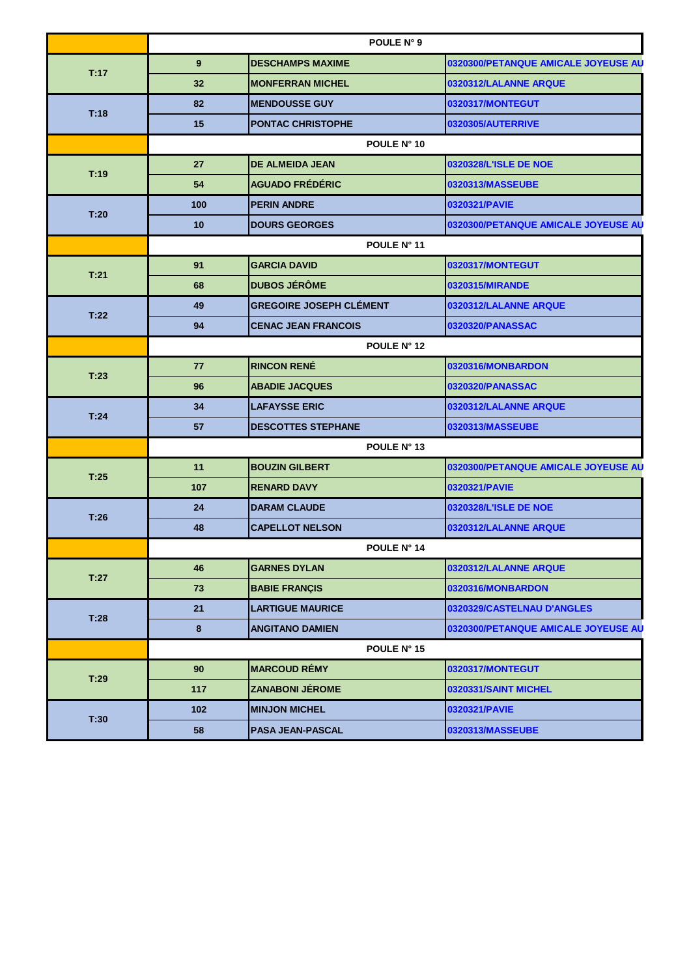|      | POULE N° 9     |                                |                                     |  |  |
|------|----------------|--------------------------------|-------------------------------------|--|--|
| T:17 | 9 <sup>°</sup> | <b>DESCHAMPS MAXIME</b>        | 0320300/PETANQUE AMICALE JOYEUSE AU |  |  |
|      | 32             | <b>MONFERRAN MICHEL</b>        | 0320312/LALANNE ARQUE               |  |  |
| T:18 | 82             | <b>MENDOUSSE GUY</b>           | 0320317/MONTEGUT                    |  |  |
|      | 15             | <b>PONTAC CHRISTOPHE</b>       | 0320305/AUTERRIVE                   |  |  |
|      | POULE N° 10    |                                |                                     |  |  |
| T:19 | 27             | <b>DE ALMEIDA JEAN</b>         | 0320328/L'ISLE DE NOE               |  |  |
|      | 54             | <b>AGUADO FRÉDÉRIC</b>         | 0320313/MASSEUBE                    |  |  |
|      | 100            | <b>PERIN ANDRE</b>             | 0320321/PAVIE                       |  |  |
| T:20 | 10             | <b>DOURS GEORGES</b>           | 0320300/PETANQUE AMICALE JOYEUSE AU |  |  |
|      | POULE N° 11    |                                |                                     |  |  |
| T:21 | 91             | <b>GARCIA DAVID</b>            | 0320317/MONTEGUT                    |  |  |
|      | 68             | <b>DUBOS JÉRÔME</b>            | 0320315/MIRANDE                     |  |  |
| T:22 | 49             | <b>GREGOIRE JOSEPH CLÉMENT</b> | 0320312/LALANNE ARQUE               |  |  |
|      | 94             | <b>CENAC JEAN FRANCOIS</b>     | 0320320/PANASSAC                    |  |  |
|      | POULE N° 12    |                                |                                     |  |  |
| T:23 | 77             | <b>RINCON RENÉ</b>             | 0320316/MONBARDON                   |  |  |
|      | 96             | <b>ABADIE JACQUES</b>          | 0320320/PANASSAC                    |  |  |
| T:24 | 34             | <b>LAFAYSSE ERIC</b>           | 0320312/LALANNE ARQUE               |  |  |
|      | 57             | <b>DESCOTTES STEPHANE</b>      | 0320313/MASSEUBE                    |  |  |
|      |                | POULE N° 13                    |                                     |  |  |
| T:25 | 11             | <b>BOUZIN GILBERT</b>          | 0320300/PETANQUE AMICALE JOYEUSE AU |  |  |
|      | 107            | <b>RENARD DAVY</b>             | 0320321/PAVIE                       |  |  |
| T:26 | 24             | <b>DARAM CLAUDE</b>            | 0320328/L'ISLE DE NOE               |  |  |
|      | 48             | <b>CAPELLOT NELSON</b>         | 0320312/LALANNE ARQUE               |  |  |
|      |                | POULE N° 14                    |                                     |  |  |
| T:27 | 46             | <b>GARNES DYLAN</b>            | 0320312/LALANNE ARQUE               |  |  |
|      | 73             | <b>BABIE FRANCIS</b>           | 0320316/MONBARDON                   |  |  |
| T:28 | 21             | <b>LARTIGUE MAURICE</b>        | 0320329/CASTELNAU D'ANGLES          |  |  |
|      | 8              | <b>ANGITANO DAMIEN</b>         | 0320300/PETANQUE AMICALE JOYEUSE AU |  |  |
|      |                | POULE N° 15                    |                                     |  |  |
| T:29 | 90             | <b>MARCOUD RÉMY</b>            | 0320317/MONTEGUT                    |  |  |
|      | 117            | <b>ZANABONI JÉROME</b>         | 0320331/SAINT MICHEL                |  |  |
| T:30 | 102            | <b>MINJON MICHEL</b>           | 0320321/PAVIE                       |  |  |
|      | 58             | <b>PASA JEAN-PASCAL</b>        | 0320313/MASSEUBE                    |  |  |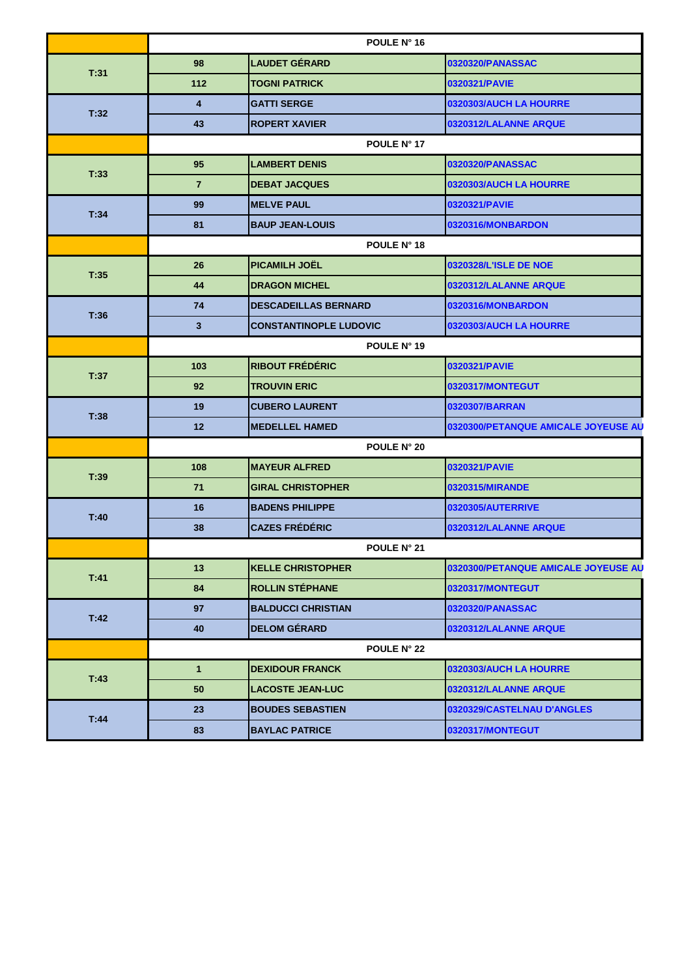|      | POULE N° 16        |                               |                                     |  |  |
|------|--------------------|-------------------------------|-------------------------------------|--|--|
| T:31 | 98                 | <b>LAUDET GÉRARD</b>          | 0320320/PANASSAC                    |  |  |
|      | 112                | <b>TOGNI PATRICK</b>          | 0320321/PAVIE                       |  |  |
|      | 4                  | <b>GATTI SERGE</b>            | 0320303/AUCH LA HOURRE              |  |  |
| T:32 | 43                 | <b>ROPERT XAVIER</b>          | 0320312/LALANNE ARQUE               |  |  |
|      | POULE N° 17        |                               |                                     |  |  |
| T:33 | 95                 | <b>LAMBERT DENIS</b>          | 0320320/PANASSAC                    |  |  |
|      | $\overline{7}$     | <b>DEBAT JACQUES</b>          | 0320303/AUCH LA HOURRE              |  |  |
| T:34 | 99                 | <b>MELVE PAUL</b>             | 0320321/PAVIE                       |  |  |
|      | 81                 | <b>BAUP JEAN-LOUIS</b>        | 0320316/MONBARDON                   |  |  |
|      | POULE N° 18        |                               |                                     |  |  |
| T:35 | 26                 | <b>PICAMILH JOËL</b>          | 0320328/L'ISLE DE NOE               |  |  |
|      | 44                 | <b>DRAGON MICHEL</b>          | 0320312/LALANNE ARQUE               |  |  |
| T:36 | 74                 | <b>DESCADEILLAS BERNARD</b>   | 0320316/MONBARDON                   |  |  |
|      | 3 <sup>2</sup>     | <b>CONSTANTINOPLE LUDOVIC</b> | 0320303/AUCH LA HOURRE              |  |  |
|      | POULE N° 19        |                               |                                     |  |  |
| T:37 | 103                | <b>RIBOUT FRÉDÉRIC</b>        | 0320321/PAVIE                       |  |  |
|      | 92                 | <b>TROUVIN ERIC</b>           | 0320317/MONTEGUT                    |  |  |
| T:38 | 19                 | <b>CUBERO LAURENT</b>         | 0320307/BARRAN                      |  |  |
|      | 12                 | <b>MEDELLEL HAMED</b>         | 0320300/PETANQUE AMICALE JOYEUSE AU |  |  |
|      |                    | POULE N° 20                   |                                     |  |  |
| T:39 | 108                | <b>MAYEUR ALFRED</b>          | 0320321/PAVIE                       |  |  |
|      | 71                 | <b>GIRAL CHRISTOPHER</b>      | 0320315/MIRANDE                     |  |  |
| T:40 | 16                 | <b>BADENS PHILIPPE</b>        | 0320305/AUTERRIVE                   |  |  |
|      | 38                 | <b>CAZES FRÉDÉRIC</b>         | 0320312/LALANNE ARQUE               |  |  |
|      | <b>POULE N° 21</b> |                               |                                     |  |  |
| T:41 | 13                 | <b>KELLE CHRISTOPHER</b>      | 0320300/PETANQUE AMICALE JOYEUSE AU |  |  |
|      | 84                 | <b>ROLLIN STÉPHANE</b>        | 0320317/MONTEGUT                    |  |  |
| T.42 | 97                 | <b>BALDUCCI CHRISTIAN</b>     | 0320320/PANASSAC                    |  |  |
|      | 40                 | <b>DELOM GÉRARD</b>           | 0320312/LALANNE ARQUE               |  |  |
|      |                    | <b>POULE N° 22</b>            |                                     |  |  |
| T:43 | $\mathbf{1}$       | <b>DEXIDOUR FRANCK</b>        | 0320303/AUCH LA HOURRE              |  |  |
|      | 50                 | <b>LACOSTE JEAN-LUC</b>       | 0320312/LALANNE ARQUE               |  |  |
| T.44 | 23                 | <b>BOUDES SEBASTIEN</b>       | 0320329/CASTELNAU D'ANGLES          |  |  |
|      | 83                 | <b>BAYLAC PATRICE</b>         | 0320317/MONTEGUT                    |  |  |